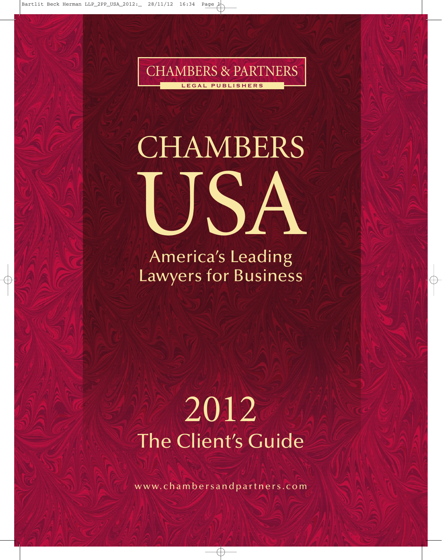

# **CHAMBERS** USA

America's Leading Lawyers for Business

## 2012 The Client's Guide

www.chambersandpartners.com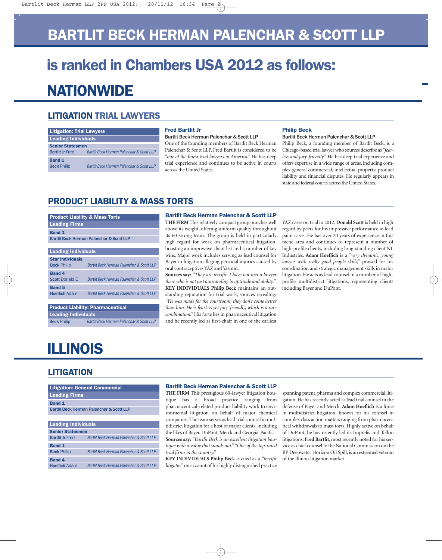### **BARTLIT BECK HERMAN PALENCHAR & SCOTT LLP**

## **is ranked in Chambers USA 2012 as follows: NATIONWIDE**

#### **LITIGATION TRIAL LAWYERS**

| <b>Litigation: Trial Lawyers</b> |                                           |  |
|----------------------------------|-------------------------------------------|--|
| <b>Leading Individuals</b>       |                                           |  |
| <b>Senior Statesmen</b>          |                                           |  |
| <b>Bartlit Jr Fred</b>           | Bartlit Beck Herman Palenchar & Scott LLP |  |
| Band 1                           |                                           |  |
| <b>Beck Philip</b>               | Bartlit Beck Herman Palenchar & Scott LLP |  |

#### **Fred Bartlit Jr**

#### **Bartlit Beck Herman Palenchar & Scott LLP**

One of the founding members of Bartlit Beck Herman Palenchar & Scott LLP, Fred Bartlit is considered to be *"one of the finest trial lawyers in America."* He has deep trial experience and continues to be active in courts across the United States.

#### **Philip Beck**

#### **Bartlit Beck Herman Palenchar & Scott LLP**

Philip Beck, a founding member of Bartlit Beck, is a Chicago-based trial lawyer who sources describe as *"fearless and jury-friendly."* He has deep trial experience and offers expertise in a wide range of areas, including complex general commercial, intellectual property, product liability and financial disputes. He regularly appears in state and federal courts across the United States.

#### **PRODUCT LIABILITY & MASS TORTS**

| <b>Product Liability &amp; Mass Torts</b>            |                                                      |  |
|------------------------------------------------------|------------------------------------------------------|--|
| <b>Leading Firms</b>                                 |                                                      |  |
| <b>Band 1</b>                                        |                                                      |  |
| <b>Bartlit Beck Herman Palenchar &amp; Scott LLP</b> |                                                      |  |
|                                                      |                                                      |  |
| <b>Leading Individuals</b>                           |                                                      |  |
| <b>Star individuals</b>                              |                                                      |  |
| <b>Beck Philip</b>                                   | <b>Bartlit Beck Herman Palenchar &amp; Scott LLF</b> |  |
| <b>Band 4</b>                                        |                                                      |  |
| <b>Scott Donald E</b>                                | Bartlit Beck Herman Palenchar & Scott LLF            |  |
| <b>Band 5</b>                                        |                                                      |  |
| <b>Hoeflich Adam</b>                                 | Bartlit Beck Herman Palenchar & Scott LLF            |  |
|                                                      |                                                      |  |

#### **Product Liability: Pharmaceutical Leading Individuals Beck** Philip *Bartlit Beck Herman Palenchar & Scott LLP*

**Bartlit Beck Herman Palenchar & Scott LLP**

**THE FIRM** This relatively compact group punches well above its weight, offering uniform quality throughout its 60-strong team. The group is held in particularly high regard for work on pharmaceutical litigation, boasting an impressive client list and a number of key wins. Major work includes serving as lead counsel for Bayer in litigation alleging personal injuries caused by oral contraceptives YAZ and Yasmin.

**Sources say:** *"They are terrific. I have not met a lawyer there who is not just outstanding in aptitude and ability."* **KEY INDIVIDUALS Philip Beck** maintains an outstanding reputation for trial work, sources revealing: *"He was made for the courtroom; they don't come better than him. He is fearless yet jury-friendly, which is a rare combination."* His forte lies in pharmaceutical litigation and he recently led as first-chair in one of the earliest YAZ cases on trial in 2012. **Donald Scott** is held in high regard by peers for his impressive performance in lead paint cases. He has over 20 years of experience in this niche area and continues to represent a number of high-profile clients, including long-standing client NL Industries. **Adam Hoeflich** is a *"very dynamic, young lawyer with really good people skills,"* praised for his coordination and strategic management skills in major litigation. He acts as lead counsel in a number of highprofile multidistrict litigations, representing clients including Bayer and DuPont.

## **ILLINOIS**

#### **LITIGATION**

| <b>Litigation: General Commercial</b>                |                                                      |  |
|------------------------------------------------------|------------------------------------------------------|--|
| <b>Leading Firms</b>                                 |                                                      |  |
| <b>Band 1</b>                                        |                                                      |  |
| <b>Bartlit Beck Herman Palenchar &amp; Scott LLP</b> |                                                      |  |
|                                                      |                                                      |  |
| <b>Leading Individuals</b>                           |                                                      |  |
| <b>Senior Statesmen</b>                              |                                                      |  |
| <b>Bartlit Jr Fred</b>                               | <b>Bartlit Beck Herman Palenchar &amp; Scott LLF</b> |  |
| <b>Band 1</b>                                        |                                                      |  |
| <b>Beck Philip</b>                                   | <b>Bartlit Beck Herman Palenchar &amp; Scott LLF</b> |  |
| <b>Band 4</b>                                        |                                                      |  |
| <b>Hoeflich Adam</b>                                 | Bartlit Beck Herman Palenchar & Scott LLF            |  |

#### **Bartlit Beck Herman Palenchar & Scott LLP**

**THE FIRM** This prestigious 60-lawyer litigation boutique has a broad practice ranging from pharmaceutical-related product liability work to environmental litigation on behalf of major chemical companies. The team serves as lead trial counsel in multidistrict litigation for a host of major clients, including the likes of Bayer, DuPont, Merck and Georgia-Pacific. **Sources say:** *"Bartlit Beck is an excellent litigation boutique with a value that stands out." "One of the top-rated trial firms in the country."*

**KEY INDIVIDUALS Philip Beck** is cited as a *"terrific litigator"* on account of his highly distinguished practice spanning patent, pharma and complex commercial litigation. He has recently acted as lead trial counsel in the defense of Bayer and Merck. **Adam Hoeflich** is a force in multidistrict litigation, known for his counsel in complex class action matters ranging from pharmaceutical withdrawals to mass torts. Highly active on behalf of DuPont, he has recently led its Imprelis and Teflon litigations. **Fred Bartlit**, most recently noted for his service as chief counsel to the National Commission on the BP Deepwater Horizon Oil Spill, is an esteemed veteran of the Illinois litigation market.